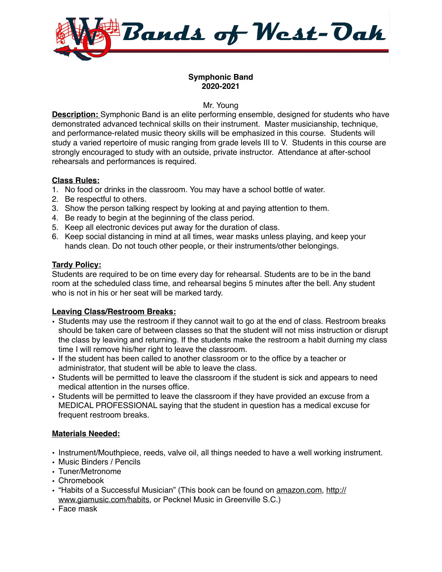

## **Symphonic Band 2020-2021**

Mr. Young

**Description:** Symphonic Band is an elite performing ensemble, designed for students who have demonstrated advanced technical skills on their instrument. Master musicianship, technique, and performance-related music theory skills will be emphasized in this course. Students will study a varied repertoire of music ranging from grade levels III to V. Students in this course are strongly encouraged to study with an outside, private instructor. Attendance at after-school rehearsals and performances is required.

## **Class Rules:**

- 1. No food or drinks in the classroom. You may have a school bottle of water.
- 2. Be respectful to others.
- 3. Show the person talking respect by looking at and paying attention to them.
- 4. Be ready to begin at the beginning of the class period.
- 5. Keep all electronic devices put away for the duration of class.
- 6. Keep social distancing in mind at all times, wear masks unless playing, and keep your hands clean. Do not touch other people, or their instruments/other belongings.

## **Tardy Policy:**

Students are required to be on time every day for rehearsal. Students are to be in the band room at the scheduled class time, and rehearsal begins 5 minutes after the bell. Any student who is not in his or her seat will be marked tardy.

# **Leaving Class/Restroom Breaks:**

- Students may use the restroom if they cannot wait to go at the end of class. Restroom breaks should be taken care of between classes so that the student will not miss instruction or disrupt the class by leaving and returning. If the students make the restroom a habit durning my class time I will remove his/her right to leave the classroom.
- If the student has been called to another classroom or to the office by a teacher or administrator, that student will be able to leave the class.
- Students will be permitted to leave the classroom if the student is sick and appears to need medical attention in the nurses office.
- Students will be permitted to leave the classroom if they have provided an excuse from a MEDICAL PROFESSIONAL saying that the student in question has a medical excuse for frequent restroom breaks.

# **Materials Needed:**

- Instrument/Mouthpiece, reeds, valve oil, all things needed to have a well working instrument.
- Music Binders / Pencils
- Tuner/Metronome
- Chromebook
- "Habits of a Successful Musician" (This book can be found on [amazon.com](http://amazon.com), [http://](http://www.giamusic.com/habits) [www.giamusic.com/habits,](http://www.giamusic.com/habits) or Pecknel Music in Greenville S.C.)
- Face mask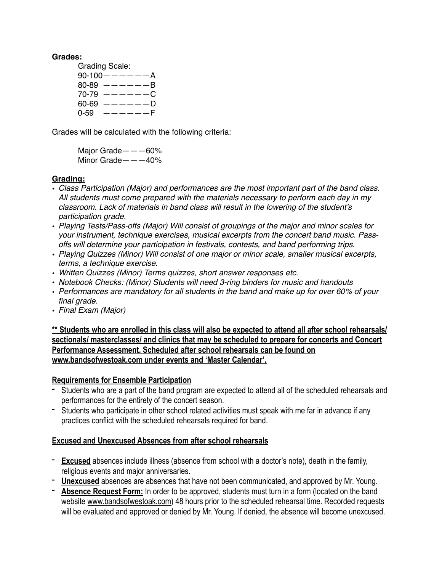### **Grades:**

Grading Scale:  $90-100$  -  $---$  -  $A$  $80-89$   $-- -B$  $70-79$   $-- -C$  $60-69$   $-- -D$  $0-59$   $---F$ 

Grades will be calculated with the following criteria:

Major Grade———60% Minor Grade———40%

## **Grading:**

- *Class Participation (Major) and performances are the most important part of the band class. All students must come prepared with the materials necessary to perform each day in my classroom. Lack of materials in band class will result in the lowering of the student's participation grade.*
- *Playing Tests/Pass-offs (Major) Will consist of groupings of the major and minor scales for your instrument, technique exercises, musical excerpts from the concert band music. Passoffs will determine your participation in festivals, contests, and band performing trips.*
- *Playing Quizzes (Minor) Will consist of one major or minor scale, smaller musical excerpts, terms, a technique exercise.*
- *Written Quizzes (Minor) Terms quizzes, short answer responses etc.*
- *Notebook Checks: (Minor) Students will need 3-ring binders for music and handouts*
- *Performances are mandatory for all students in the band and make up for over 60% of your final grade.*
- *Final Exam (Major)*

**\*\* Students who are enrolled in this class will also be expected to attend all after school rehearsals/ sectionals/ masterclasses/ and clinics that may be scheduled to prepare for concerts and Concert Performance Assessment. Scheduled after school rehearsals can be found on [www.bandsofwestoak.com](http://www.bandsofwestoak.com) under events and 'Master Calendar'.** 

# **Requirements for Ensemble Participation**

- Students who are a part of the band program are expected to attend all of the scheduled rehearsals and performances for the entirety of the concert season.
- Students who participate in other school related activities must speak with me far in advance if any practices conflict with the scheduled rehearsals required for band.

# **Excused and Unexcused Absences from after school rehearsals**

- **Excused** absences include illness (absence from school with a doctor's note), death in the family, religious events and major anniversaries.
- **Unexcused** absences are absences that have not been communicated, and approved by Mr. Young.
- **Absence Request Form:** In order to be approved, students must turn in a form (located on the band website [www.bandsofwestoak.com](http://www.bandsofwestoak.com)) 48 hours prior to the scheduled rehearsal time. Recorded requests will be evaluated and approved or denied by Mr. Young. If denied, the absence will become unexcused.